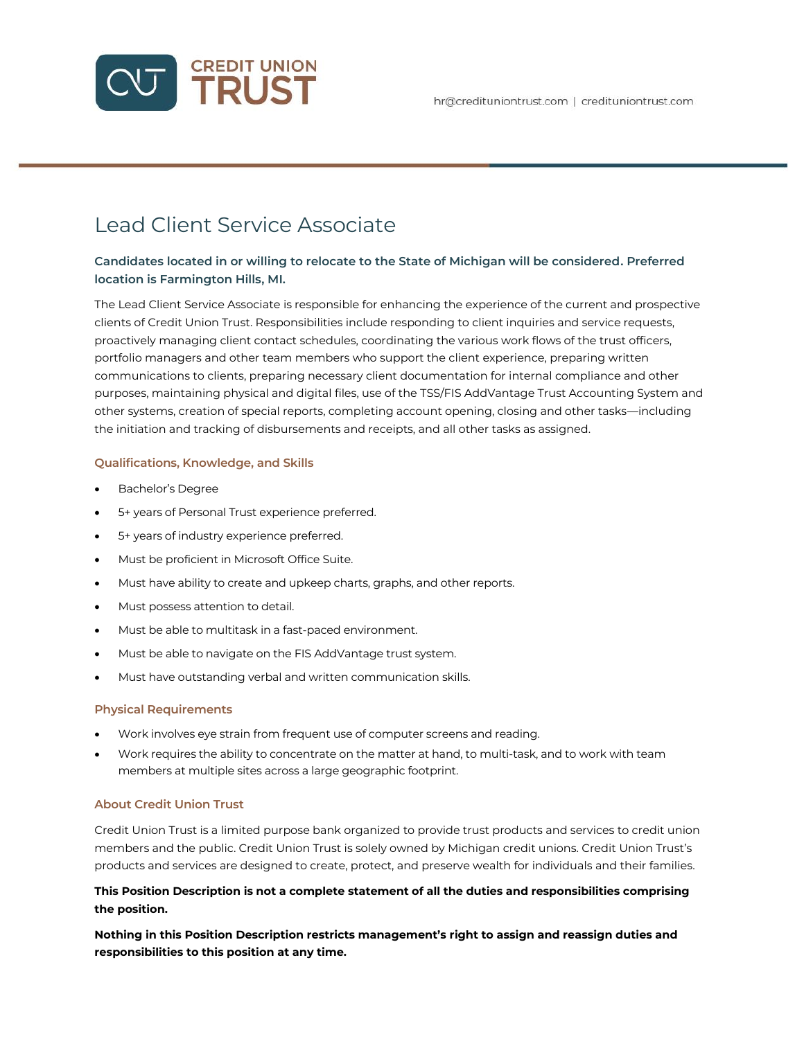

# Lead Client Service Associate

## **Candidates located in or willing to relocate to the State of Michigan will be considered. Preferred location is Farmington Hills, MI.**

The Lead Client Service Associate is responsible for enhancing the experience of the current and prospective clients of Credit Union Trust. Responsibilities include responding to client inquiries and service requests, proactively managing client contact schedules, coordinating the various work flows of the trust officers, portfolio managers and other team members who support the client experience, preparing written communications to clients, preparing necessary client documentation for internal compliance and other purposes, maintaining physical and digital files, use of the TSS/FIS AddVantage Trust Accounting System and other systems, creation of special reports, completing account opening, closing and other tasks—including the initiation and tracking of disbursements and receipts, and all other tasks as assigned.

## **Qualifications, Knowledge, and Skills**

- Bachelor's Degree
- 5+ years of Personal Trust experience preferred.
- 5+ years of industry experience preferred.
- Must be proficient in Microsoft Office Suite.
- Must have ability to create and upkeep charts, graphs, and other reports.
- Must possess attention to detail.
- Must be able to multitask in a fast-paced environment.
- Must be able to navigate on the FIS AddVantage trust system.
- Must have outstanding verbal and written communication skills.

#### **Physical Requirements**

- Work involves eye strain from frequent use of computer screens and reading.
- Work requires the ability to concentrate on the matter at hand, to multi-task, and to work with team members at multiple sites across a large geographic footprint.

## **About Credit Union Trust**

Credit Union Trust is a limited purpose bank organized to provide trust products and services to credit union members and the public. Credit Union Trust is solely owned by Michigan credit unions. Credit Union Trust's products and services are designed to create, protect, and preserve wealth for individuals and their families.

## **This Position Description is not a complete statement of all the duties and responsibilities comprising the position.**

**Nothing in this Position Description restricts management's right to assign and reassign duties and responsibilities to this position at any time.**